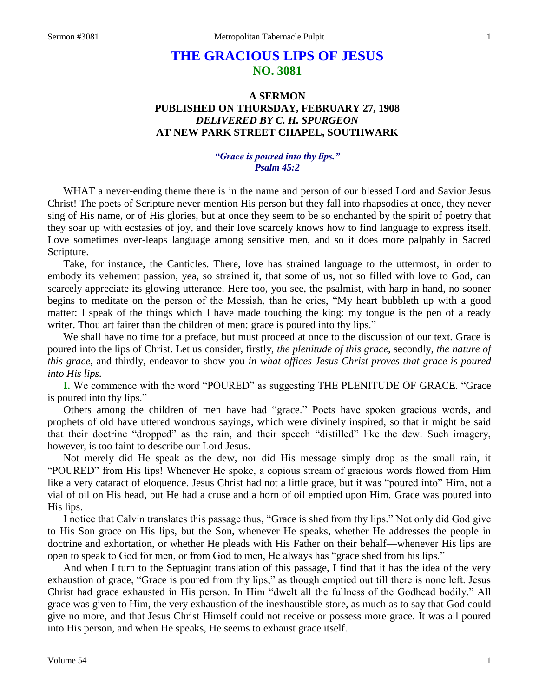# **THE GRACIOUS LIPS OF JESUS NO. 3081**

## **A SERMON PUBLISHED ON THURSDAY, FEBRUARY 27, 1908** *DELIVERED BY C. H. SPURGEON* **AT NEW PARK STREET CHAPEL, SOUTHWARK**

## *"Grace is poured into thy lips." Psalm 45:2*

WHAT a never-ending theme there is in the name and person of our blessed Lord and Savior Jesus Christ! The poets of Scripture never mention His person but they fall into rhapsodies at once, they never sing of His name, or of His glories, but at once they seem to be so enchanted by the spirit of poetry that they soar up with ecstasies of joy, and their love scarcely knows how to find language to express itself. Love sometimes over-leaps language among sensitive men, and so it does more palpably in Sacred Scripture.

Take, for instance, the Canticles. There, love has strained language to the uttermost, in order to embody its vehement passion, yea, so strained it, that some of us, not so filled with love to God, can scarcely appreciate its glowing utterance. Here too, you see, the psalmist, with harp in hand, no sooner begins to meditate on the person of the Messiah, than he cries, "My heart bubbleth up with a good matter: I speak of the things which I have made touching the king: my tongue is the pen of a ready writer. Thou art fairer than the children of men: grace is poured into thy lips."

We shall have no time for a preface, but must proceed at once to the discussion of our text. Grace is poured into the lips of Christ. Let us consider, firstly, *the plenitude of this grace,* secondly, *the nature of this grace,* and thirdly, endeavor to show you *in what offices Jesus Christ proves that grace is poured into His lips.* 

**I.** We commence with the word "POURED" as suggesting THE PLENITUDE OF GRACE. "Grace is poured into thy lips."

Others among the children of men have had "grace." Poets have spoken gracious words, and prophets of old have uttered wondrous sayings, which were divinely inspired, so that it might be said that their doctrine "dropped" as the rain, and their speech "distilled" like the dew. Such imagery, however, is too faint to describe our Lord Jesus.

Not merely did He speak as the dew, nor did His message simply drop as the small rain, it "POURED" from His lips! Whenever He spoke, a copious stream of gracious words flowed from Him like a very cataract of eloquence. Jesus Christ had not a little grace, but it was "poured into" Him, not a vial of oil on His head, but He had a cruse and a horn of oil emptied upon Him. Grace was poured into His lips.

I notice that Calvin translates this passage thus, "Grace is shed from thy lips." Not only did God give to His Son grace on His lips, but the Son, whenever He speaks, whether He addresses the people in doctrine and exhortation, or whether He pleads with His Father on their behalf—whenever His lips are open to speak to God for men, or from God to men, He always has "grace shed from his lips."

And when I turn to the Septuagint translation of this passage, I find that it has the idea of the very exhaustion of grace, "Grace is poured from thy lips," as though emptied out till there is none left. Jesus Christ had grace exhausted in His person. In Him "dwelt all the fullness of the Godhead bodily." All grace was given to Him, the very exhaustion of the inexhaustible store, as much as to say that God could give no more, and that Jesus Christ Himself could not receive or possess more grace. It was all poured into His person, and when He speaks, He seems to exhaust grace itself.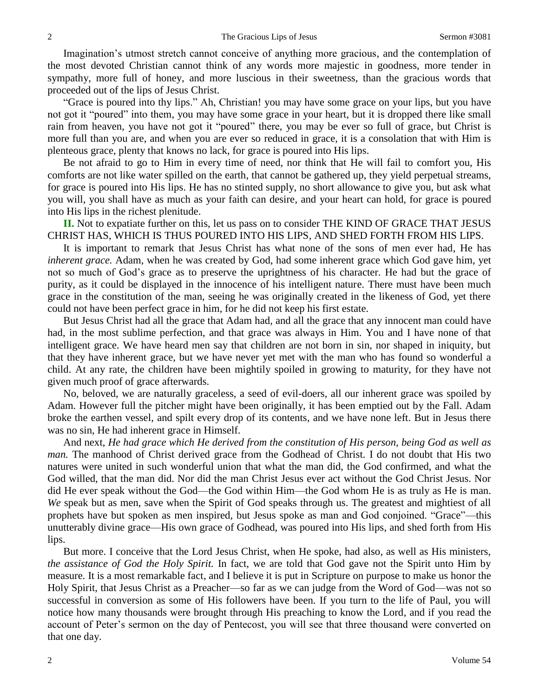Imagination's utmost stretch cannot conceive of anything more gracious, and the contemplation of the most devoted Christian cannot think of any words more majestic in goodness, more tender in sympathy, more full of honey, and more luscious in their sweetness, than the gracious words that proceeded out of the lips of Jesus Christ.

"Grace is poured into thy lips." Ah, Christian! you may have some grace on your lips, but you have not got it "poured" into them, you may have some grace in your heart, but it is dropped there like small rain from heaven, you have not got it "poured" there, you may be ever so full of grace, but Christ is more full than you are, and when you are ever so reduced in grace, it is a consolation that with Him is plenteous grace, plenty that knows no lack, for grace is poured into His lips.

Be not afraid to go to Him in every time of need, nor think that He will fail to comfort you, His comforts are not like water spilled on the earth, that cannot be gathered up, they yield perpetual streams, for grace is poured into His lips. He has no stinted supply, no short allowance to give you, but ask what you will, you shall have as much as your faith can desire, and your heart can hold, for grace is poured into His lips in the richest plenitude.

**II.** Not to expatiate further on this, let us pass on to consider THE KIND OF GRACE THAT JESUS CHRIST HAS, WHICH IS THUS POURED INTO HIS LIPS, AND SHED FORTH FROM HIS LIPS.

It is important to remark that Jesus Christ has what none of the sons of men ever had, He has *inherent grace.* Adam, when he was created by God, had some inherent grace which God gave him, yet not so much of God's grace as to preserve the uprightness of his character. He had but the grace of purity, as it could be displayed in the innocence of his intelligent nature. There must have been much grace in the constitution of the man, seeing he was originally created in the likeness of God, yet there could not have been perfect grace in him, for he did not keep his first estate.

But Jesus Christ had all the grace that Adam had, and all the grace that any innocent man could have had, in the most sublime perfection, and that grace was always in Him. You and I have none of that intelligent grace. We have heard men say that children are not born in sin, nor shaped in iniquity, but that they have inherent grace, but we have never yet met with the man who has found so wonderful a child. At any rate, the children have been mightily spoiled in growing to maturity, for they have not given much proof of grace afterwards.

No, beloved, we are naturally graceless, a seed of evil-doers, all our inherent grace was spoiled by Adam. However full the pitcher might have been originally, it has been emptied out by the Fall. Adam broke the earthen vessel, and spilt every drop of its contents, and we have none left. But in Jesus there was no sin, He had inherent grace in Himself.

And next, *He had grace which He derived from the constitution of His person, being God as well as man.* The manhood of Christ derived grace from the Godhead of Christ. I do not doubt that His two natures were united in such wonderful union that what the man did, the God confirmed, and what the God willed, that the man did. Nor did the man Christ Jesus ever act without the God Christ Jesus. Nor did He ever speak without the God—the God within Him—the God whom He is as truly as He is man. *We* speak but as men, save when the Spirit of God speaks through us. The greatest and mightiest of all prophets have but spoken as men inspired, but Jesus spoke as man and God conjoined. "Grace"—this unutterably divine grace—His own grace of Godhead, was poured into His lips, and shed forth from His lips.

But more. I conceive that the Lord Jesus Christ, when He spoke, had also, as well as His ministers, *the assistance of God the Holy Spirit.* In fact, we are told that God gave not the Spirit unto Him by measure. It is a most remarkable fact, and I believe it is put in Scripture on purpose to make us honor the Holy Spirit, that Jesus Christ as a Preacher—so far as we can judge from the Word of God—was not so successful in conversion as some of His followers have been. If you turn to the life of Paul, you will notice how many thousands were brought through His preaching to know the Lord, and if you read the account of Peter's sermon on the day of Pentecost, you will see that three thousand were converted on that one day.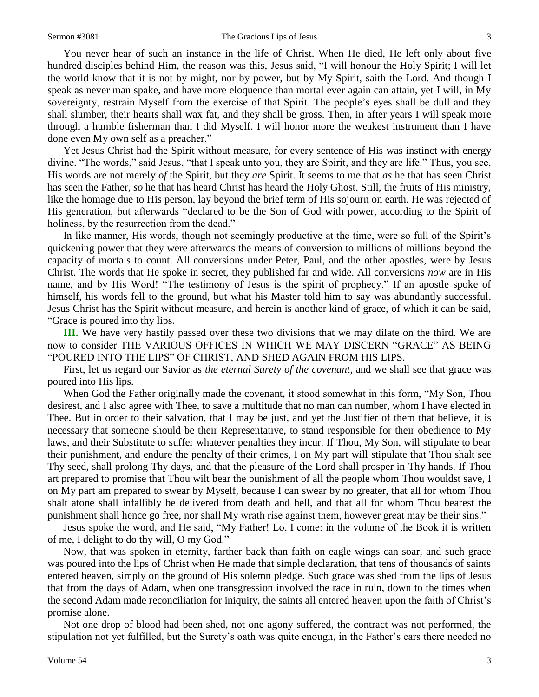You never hear of such an instance in the life of Christ. When He died, He left only about five hundred disciples behind Him, the reason was this, Jesus said, "I will honour the Holy Spirit; I will let the world know that it is not by might, nor by power, but by My Spirit, saith the Lord. And though I speak as never man spake, and have more eloquence than mortal ever again can attain, yet I will, in My sovereignty, restrain Myself from the exercise of that Spirit. The people's eyes shall be dull and they shall slumber, their hearts shall wax fat, and they shall be gross. Then, in after years I will speak more through a humble fisherman than I did Myself. I will honor more the weakest instrument than I have done even My own self as a preacher."

Yet Jesus Christ had the Spirit without measure, for every sentence of His was instinct with energy divine. "The words," said Jesus, "that I speak unto you, they are Spirit, and they are life." Thus, you see, His words are not merely *of* the Spirit, but they *are* Spirit. It seems to me that *as* he that has seen Christ has seen the Father, *so* he that has heard Christ has heard the Holy Ghost. Still, the fruits of His ministry, like the homage due to His person, lay beyond the brief term of His sojourn on earth. He was rejected of His generation, but afterwards "declared to be the Son of God with power, according to the Spirit of holiness, by the resurrection from the dead."

In like manner, His words, though not seemingly productive at the time, were so full of the Spirit's quickening power that they were afterwards the means of conversion to millions of millions beyond the capacity of mortals to count. All conversions under Peter, Paul, and the other apostles, were by Jesus Christ. The words that He spoke in secret, they published far and wide. All conversions *now* are in His name, and by His Word! "The testimony of Jesus is the spirit of prophecy." If an apostle spoke of himself, his words fell to the ground, but what his Master told him to say was abundantly successful. Jesus Christ has the Spirit without measure, and herein is another kind of grace, of which it can be said, "Grace is poured into thy lips.

**III.** We have very hastily passed over these two divisions that we may dilate on the third. We are now to consider THE VARIOUS OFFICES IN WHICH WE MAY DISCERN "GRACE" AS BEING "POURED INTO THE LIPS" OF CHRIST, AND SHED AGAIN FROM HIS LIPS.

First, let us regard our Savior as *the eternal Surety of the covenant,* and we shall see that grace was poured into His lips.

When God the Father originally made the covenant, it stood somewhat in this form, "My Son, Thou desirest, and I also agree with Thee, to save a multitude that no man can number, whom I have elected in Thee. But in order to their salvation, that I may be just, and yet the Justifier of them that believe, it is necessary that someone should be their Representative, to stand responsible for their obedience to My laws, and their Substitute to suffer whatever penalties they incur. If Thou, My Son, will stipulate to bear their punishment, and endure the penalty of their crimes, I on My part will stipulate that Thou shalt see Thy seed, shall prolong Thy days, and that the pleasure of the Lord shall prosper in Thy hands. If Thou art prepared to promise that Thou wilt bear the punishment of all the people whom Thou wouldst save, I on My part am prepared to swear by Myself, because I can swear by no greater, that all for whom Thou shalt atone shall infallibly be delivered from death and hell, and that all for whom Thou bearest the punishment shall hence go free, nor shall My wrath rise against them, however great may be their sins."

Jesus spoke the word, and He said, "My Father! Lo, I come: in the volume of the Book it is written of me, I delight to do thy will, O my God."

Now, that was spoken in eternity, farther back than faith on eagle wings can soar, and such grace was poured into the lips of Christ when He made that simple declaration, that tens of thousands of saints entered heaven, simply on the ground of His solemn pledge. Such grace was shed from the lips of Jesus that from the days of Adam, when one transgression involved the race in ruin, down to the times when the second Adam made reconciliation for iniquity, the saints all entered heaven upon the faith of Christ's promise alone.

Not one drop of blood had been shed, not one agony suffered, the contract was not performed, the stipulation not yet fulfilled, but the Surety's oath was quite enough, in the Father's ears there needed no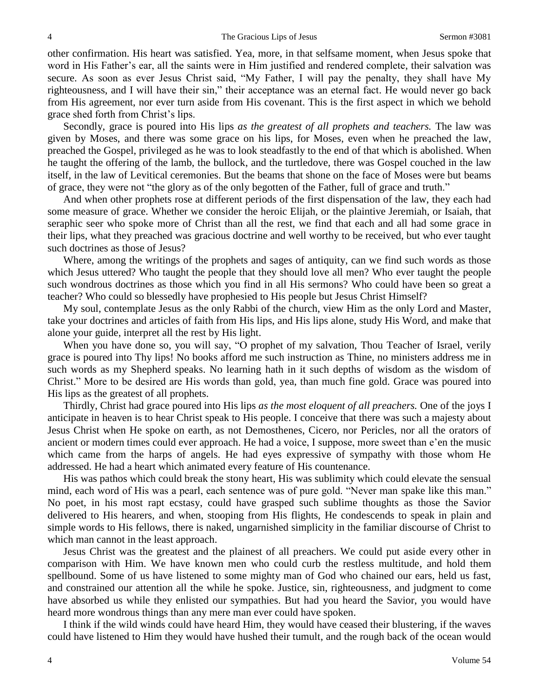other confirmation. His heart was satisfied. Yea, more, in that selfsame moment, when Jesus spoke that word in His Father's ear, all the saints were in Him justified and rendered complete, their salvation was secure. As soon as ever Jesus Christ said, "My Father, I will pay the penalty, they shall have My righteousness, and I will have their sin," their acceptance was an eternal fact. He would never go back from His agreement, nor ever turn aside from His covenant. This is the first aspect in which we behold grace shed forth from Christ's lips.

Secondly, grace is poured into His lips *as the greatest of all prophets and teachers.* The law was given by Moses, and there was some grace on his lips, for Moses, even when he preached the law, preached the Gospel, privileged as he was to look steadfastly to the end of that which is abolished. When he taught the offering of the lamb, the bullock, and the turtledove, there was Gospel couched in the law itself, in the law of Levitical ceremonies. But the beams that shone on the face of Moses were but beams of grace, they were not "the glory as of the only begotten of the Father, full of grace and truth."

And when other prophets rose at different periods of the first dispensation of the law, they each had some measure of grace. Whether we consider the heroic Elijah, or the plaintive Jeremiah, or Isaiah, that seraphic seer who spoke more of Christ than all the rest, we find that each and all had some grace in their lips, what they preached was gracious doctrine and well worthy to be received, but who ever taught such doctrines as those of Jesus?

Where, among the writings of the prophets and sages of antiquity, can we find such words as those which Jesus uttered? Who taught the people that they should love all men? Who ever taught the people such wondrous doctrines as those which you find in all His sermons? Who could have been so great a teacher? Who could so blessedly have prophesied to His people but Jesus Christ Himself?

My soul, contemplate Jesus as the only Rabbi of the church, view Him as the only Lord and Master, take your doctrines and articles of faith from His lips, and His lips alone, study His Word, and make that alone your guide, interpret all the rest by His light.

When you have done so, you will say, "O prophet of my salvation, Thou Teacher of Israel, verily grace is poured into Thy lips! No books afford me such instruction as Thine, no ministers address me in such words as my Shepherd speaks. No learning hath in it such depths of wisdom as the wisdom of Christ." More to be desired are His words than gold, yea, than much fine gold. Grace was poured into His lips as the greatest of all prophets.

Thirdly, Christ had grace poured into His lips *as the most eloquent of all preachers.* One of the joys I anticipate in heaven is to hear Christ speak to His people. I conceive that there was such a majesty about Jesus Christ when He spoke on earth, as not Demosthenes, Cicero, nor Pericles, nor all the orators of ancient or modern times could ever approach. He had a voice, I suppose, more sweet than e'en the music which came from the harps of angels. He had eyes expressive of sympathy with those whom He addressed. He had a heart which animated every feature of His countenance.

His was pathos which could break the stony heart, His was sublimity which could elevate the sensual mind, each word of His was a pearl, each sentence was of pure gold. "Never man spake like this man." No poet, in his most rapt ecstasy, could have grasped such sublime thoughts as those the Savior delivered to His hearers, and when, stooping from His flights, He condescends to speak in plain and simple words to His fellows, there is naked, ungarnished simplicity in the familiar discourse of Christ to which man cannot in the least approach.

Jesus Christ was the greatest and the plainest of all preachers. We could put aside every other in comparison with Him. We have known men who could curb the restless multitude, and hold them spellbound. Some of us have listened to some mighty man of God who chained our ears, held us fast, and constrained our attention all the while he spoke. Justice, sin, righteousness, and judgment to come have absorbed us while they enlisted our sympathies. But had you heard the Savior, you would have heard more wondrous things than any mere man ever could have spoken.

I think if the wild winds could have heard Him, they would have ceased their blustering, if the waves could have listened to Him they would have hushed their tumult, and the rough back of the ocean would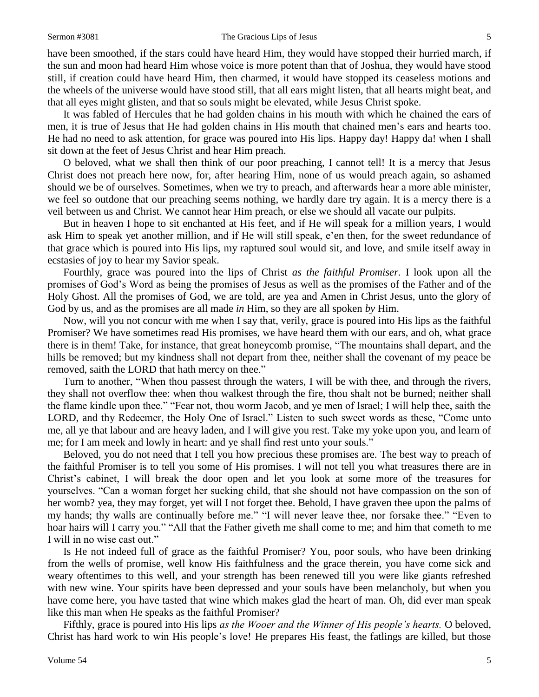#### Sermon #3081 The Gracious Lips of Jesus 5

have been smoothed, if the stars could have heard Him, they would have stopped their hurried march, if the sun and moon had heard Him whose voice is more potent than that of Joshua, they would have stood still, if creation could have heard Him, then charmed, it would have stopped its ceaseless motions and the wheels of the universe would have stood still, that all ears might listen, that all hearts might beat, and that all eyes might glisten, and that so souls might be elevated, while Jesus Christ spoke.

It was fabled of Hercules that he had golden chains in his mouth with which he chained the ears of men, it is true of Jesus that He had golden chains in His mouth that chained men's ears and hearts too. He had no need to ask attention, for grace was poured into His lips. Happy day! Happy da! when I shall sit down at the feet of Jesus Christ and hear Him preach.

O beloved, what we shall then think of our poor preaching, I cannot tell! It is a mercy that Jesus Christ does not preach here now, for, after hearing Him, none of us would preach again, so ashamed should we be of ourselves. Sometimes, when we try to preach, and afterwards hear a more able minister, we feel so outdone that our preaching seems nothing, we hardly dare try again. It is a mercy there is a veil between us and Christ. We cannot hear Him preach, or else we should all vacate our pulpits.

But in heaven I hope to sit enchanted at His feet, and if He will speak for a million years, I would ask Him to speak yet another million, and if He will still speak, e'en then, for the sweet redundance of that grace which is poured into His lips, my raptured soul would sit, and love, and smile itself away in ecstasies of joy to hear my Savior speak.

Fourthly, grace was poured into the lips of Christ *as the faithful Promiser.* I look upon all the promises of God's Word as being the promises of Jesus as well as the promises of the Father and of the Holy Ghost. All the promises of God, we are told, are yea and Amen in Christ Jesus, unto the glory of God by us, and as the promises are all made *in* Him, so they are all spoken *by* Him.

Now, will you not concur with me when I say that, verily, grace is poured into His lips as the faithful Promiser? We have sometimes read His promises, we have heard them with our ears, and oh, what grace there is in them! Take, for instance, that great honeycomb promise, "The mountains shall depart, and the hills be removed; but my kindness shall not depart from thee, neither shall the covenant of my peace be removed, saith the LORD that hath mercy on thee."

Turn to another, "When thou passest through the waters, I will be with thee, and through the rivers, they shall not overflow thee: when thou walkest through the fire, thou shalt not be burned; neither shall the flame kindle upon thee." "Fear not, thou worm Jacob, and ye men of Israel; I will help thee, saith the LORD, and thy Redeemer, the Holy One of Israel." Listen to such sweet words as these, "Come unto me, all ye that labour and are heavy laden, and I will give you rest. Take my yoke upon you, and learn of me; for I am meek and lowly in heart: and ye shall find rest unto your souls."

Beloved, you do not need that I tell you how precious these promises are. The best way to preach of the faithful Promiser is to tell you some of His promises. I will not tell you what treasures there are in Christ's cabinet, I will break the door open and let you look at some more of the treasures for yourselves. "Can a woman forget her sucking child, that she should not have compassion on the son of her womb? yea, they may forget, yet will I not forget thee. Behold, I have graven thee upon the palms of my hands; thy walls are continually before me." "I will never leave thee, nor forsake thee." "Even to hoar hairs will I carry you." "All that the Father giveth me shall come to me; and him that cometh to me I will in no wise cast out."

Is He not indeed full of grace as the faithful Promiser? You, poor souls, who have been drinking from the wells of promise, well know His faithfulness and the grace therein, you have come sick and weary oftentimes to this well, and your strength has been renewed till you were like giants refreshed with new wine. Your spirits have been depressed and your souls have been melancholy, but when you have come here, you have tasted that wine which makes glad the heart of man. Oh, did ever man speak like this man when He speaks as the faithful Promiser?

Fifthly, grace is poured into His lips *as the Wooer and the Winner of His people's hearts.* O beloved, Christ has hard work to win His people's love! He prepares His feast, the fatlings are killed, but those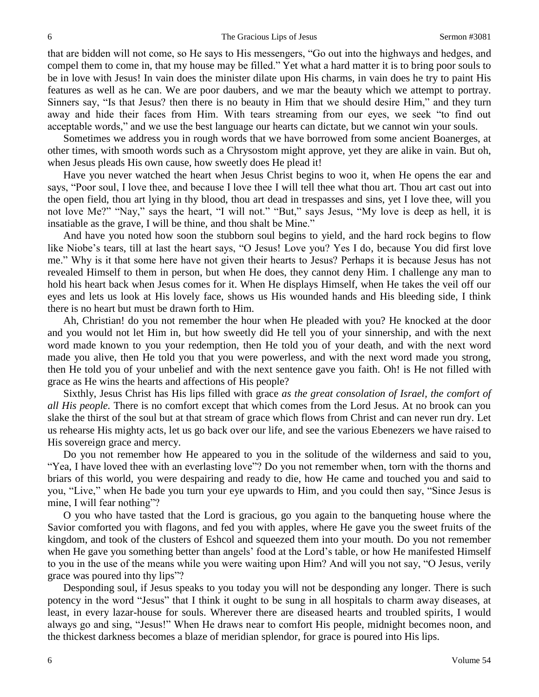that are bidden will not come, so He says to His messengers, "Go out into the highways and hedges, and compel them to come in, that my house may be filled." Yet what a hard matter it is to bring poor souls to be in love with Jesus! In vain does the minister dilate upon His charms, in vain does he try to paint His features as well as he can. We are poor daubers, and we mar the beauty which we attempt to portray. Sinners say, "Is that Jesus? then there is no beauty in Him that we should desire Him," and they turn away and hide their faces from Him. With tears streaming from our eyes, we seek "to find out acceptable words," and we use the best language our hearts can dictate, but we cannot win your souls.

Sometimes we address you in rough words that we have borrowed from some ancient Boanerges, at other times, with smooth words such as a Chrysostom might approve, yet they are alike in vain. But oh, when Jesus pleads His own cause, how sweetly does He plead it!

Have you never watched the heart when Jesus Christ begins to woo it, when He opens the ear and says, "Poor soul, I love thee, and because I love thee I will tell thee what thou art. Thou art cast out into the open field, thou art lying in thy blood, thou art dead in trespasses and sins, yet I love thee, will you not love Me?" "Nay," says the heart, "I will not." "But," says Jesus, "My love is deep as hell, it is insatiable as the grave, I will be thine, and thou shalt be Mine."

And have you noted how soon the stubborn soul begins to yield, and the hard rock begins to flow like Niobe's tears, till at last the heart says, "O Jesus! Love you? Yes I do, because You did first love me." Why is it that some here have not given their hearts to Jesus? Perhaps it is because Jesus has not revealed Himself to them in person, but when He does, they cannot deny Him. I challenge any man to hold his heart back when Jesus comes for it. When He displays Himself, when He takes the veil off our eyes and lets us look at His lovely face, shows us His wounded hands and His bleeding side, I think there is no heart but must be drawn forth to Him.

Ah, Christian! do you not remember the hour when He pleaded with you? He knocked at the door and you would not let Him in, but how sweetly did He tell you of your sinnership, and with the next word made known to you your redemption, then He told you of your death, and with the next word made you alive, then He told you that you were powerless, and with the next word made you strong, then He told you of your unbelief and with the next sentence gave you faith. Oh! is He not filled with grace as He wins the hearts and affections of His people?

Sixthly, Jesus Christ has His lips filled with grace *as the great consolation of Israel, the comfort of all His people.* There is no comfort except that which comes from the Lord Jesus. At no brook can you slake the thirst of the soul but at that stream of grace which flows from Christ and can never run dry. Let us rehearse His mighty acts, let us go back over our life, and see the various Ebenezers we have raised to His sovereign grace and mercy.

Do you not remember how He appeared to you in the solitude of the wilderness and said to you, "Yea, I have loved thee with an everlasting love"? Do you not remember when, torn with the thorns and briars of this world, you were despairing and ready to die, how He came and touched you and said to you, "Live," when He bade you turn your eye upwards to Him, and you could then say, "Since Jesus is mine, I will fear nothing"?

O you who have tasted that the Lord is gracious, go you again to the banqueting house where the Savior comforted you with flagons, and fed you with apples, where He gave you the sweet fruits of the kingdom, and took of the clusters of Eshcol and squeezed them into your mouth. Do you not remember when He gave you something better than angels' food at the Lord's table, or how He manifested Himself to you in the use of the means while you were waiting upon Him? And will you not say, "O Jesus, verily grace was poured into thy lips"?

Desponding soul, if Jesus speaks to you today you will not be desponding any longer. There is such potency in the word "Jesus" that I think it ought to be sung in all hospitals to charm away diseases, at least, in every lazar-house for souls. Wherever there are diseased hearts and troubled spirits, I would always go and sing, "Jesus!" When He draws near to comfort His people, midnight becomes noon, and the thickest darkness becomes a blaze of meridian splendor, for grace is poured into His lips.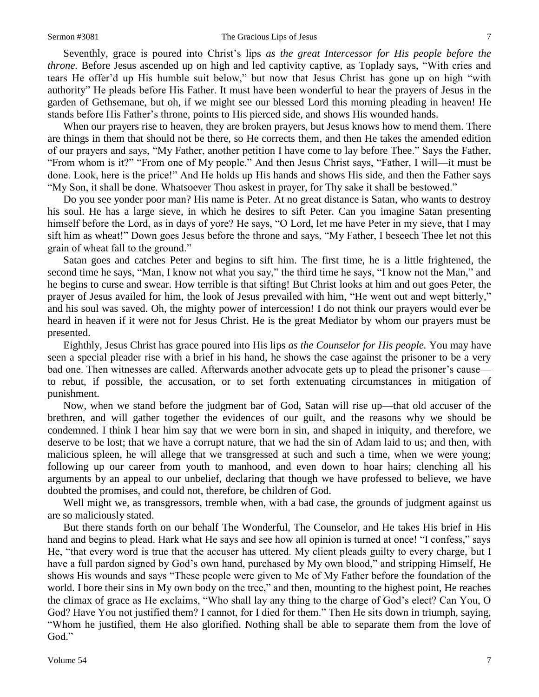#### Sermon #3081 The Gracious Lips of Jesus 7

Seventhly, grace is poured into Christ's lips *as the great Intercessor for His people before the throne.* Before Jesus ascended up on high and led captivity captive, as Toplady says, "With cries and tears He offer'd up His humble suit below," but now that Jesus Christ has gone up on high "with authority" He pleads before His Father. It must have been wonderful to hear the prayers of Jesus in the garden of Gethsemane, but oh, if we might see our blessed Lord this morning pleading in heaven! He stands before His Father's throne, points to His pierced side, and shows His wounded hands.

When our prayers rise to heaven, they are broken prayers, but Jesus knows how to mend them. There are things in them that should not be there, so He corrects them, and then He takes the amended edition of our prayers and says, "My Father, another petition I have come to lay before Thee." Says the Father, "From whom is it?" "From one of My people." And then Jesus Christ says, "Father, I will—it must be done. Look, here is the price!" And He holds up His hands and shows His side, and then the Father says "My Son, it shall be done. Whatsoever Thou askest in prayer, for Thy sake it shall be bestowed."

Do you see yonder poor man? His name is Peter. At no great distance is Satan, who wants to destroy his soul. He has a large sieve, in which he desires to sift Peter. Can you imagine Satan presenting himself before the Lord, as in days of yore? He says, "O Lord, let me have Peter in my sieve, that I may sift him as wheat!" Down goes Jesus before the throne and says, "My Father, I beseech Thee let not this grain of wheat fall to the ground."

Satan goes and catches Peter and begins to sift him. The first time, he is a little frightened, the second time he says, "Man, I know not what you say," the third time he says, "I know not the Man," and he begins to curse and swear. How terrible is that sifting! But Christ looks at him and out goes Peter, the prayer of Jesus availed for him, the look of Jesus prevailed with him, "He went out and wept bitterly," and his soul was saved. Oh, the mighty power of intercession! I do not think our prayers would ever be heard in heaven if it were not for Jesus Christ. He is the great Mediator by whom our prayers must be presented.

Eighthly, Jesus Christ has grace poured into His lips *as the Counselor for His people.* You may have seen a special pleader rise with a brief in his hand, he shows the case against the prisoner to be a very bad one. Then witnesses are called. Afterwards another advocate gets up to plead the prisoner's cause to rebut, if possible, the accusation, or to set forth extenuating circumstances in mitigation of punishment.

Now, when we stand before the judgment bar of God, Satan will rise up—that old accuser of the brethren, and will gather together the evidences of our guilt, and the reasons why we should be condemned. I think I hear him say that we were born in sin, and shaped in iniquity, and therefore, we deserve to be lost; that we have a corrupt nature, that we had the sin of Adam laid to us; and then, with malicious spleen, he will allege that we transgressed at such and such a time, when we were young; following up our career from youth to manhood, and even down to hoar hairs; clenching all his arguments by an appeal to our unbelief, declaring that though we have professed to believe, we have doubted the promises, and could not, therefore, be children of God.

Well might we, as transgressors, tremble when, with a bad case, the grounds of judgment against us are so maliciously stated.

But there stands forth on our behalf The Wonderful, The Counselor, and He takes His brief in His hand and begins to plead. Hark what He says and see how all opinion is turned at once! "I confess," says He, "that every word is true that the accuser has uttered. My client pleads guilty to every charge, but I have a full pardon signed by God's own hand, purchased by My own blood," and stripping Himself, He shows His wounds and says "These people were given to Me of My Father before the foundation of the world. I bore their sins in My own body on the tree," and then, mounting to the highest point, He reaches the climax of grace as He exclaims, "Who shall lay any thing to the charge of God's elect? Can You, O God? Have You not justified them? I cannot, for I died for them." Then He sits down in triumph, saying, "Whom he justified, them He also glorified. Nothing shall be able to separate them from the love of God."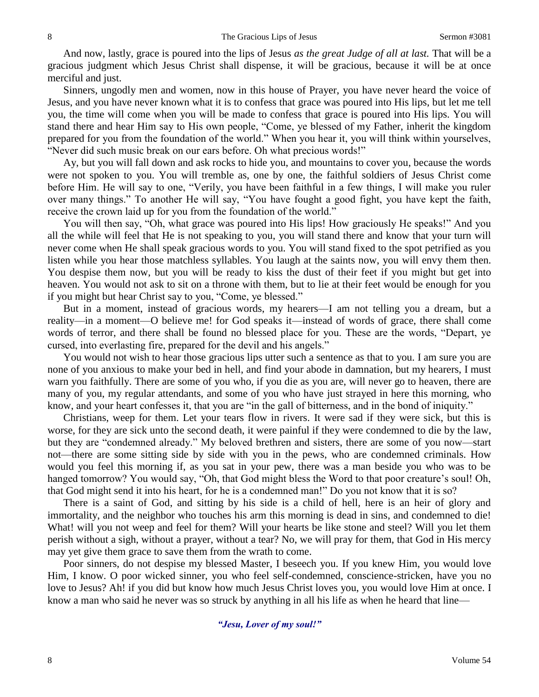And now, lastly, grace is poured into the lips of Jesus *as the great Judge of all at last.* That will be a gracious judgment which Jesus Christ shall dispense, it will be gracious, because it will be at once merciful and just.

Sinners, ungodly men and women, now in this house of Prayer, you have never heard the voice of Jesus, and you have never known what it is to confess that grace was poured into His lips, but let me tell you, the time will come when you will be made to confess that grace is poured into His lips. You will stand there and hear Him say to His own people, "Come, ye blessed of my Father, inherit the kingdom prepared for you from the foundation of the world." When you hear it, you will think within yourselves, "Never did such music break on our ears before. Oh what precious words!"

Ay, but you will fall down and ask rocks to hide you, and mountains to cover you, because the words were not spoken to you. You will tremble as, one by one, the faithful soldiers of Jesus Christ come before Him. He will say to one, "Verily, you have been faithful in a few things, I will make you ruler over many things." To another He will say, "You have fought a good fight, you have kept the faith, receive the crown laid up for you from the foundation of the world."

You will then say, "Oh, what grace was poured into His lips! How graciously He speaks!" And you all the while will feel that He is not speaking to you, you will stand there and know that your turn will never come when He shall speak gracious words to you. You will stand fixed to the spot petrified as you listen while you hear those matchless syllables. You laugh at the saints now, you will envy them then. You despise them now, but you will be ready to kiss the dust of their feet if you might but get into heaven. You would not ask to sit on a throne with them, but to lie at their feet would be enough for you if you might but hear Christ say to you, "Come, ye blessed."

But in a moment, instead of gracious words, my hearers—I am not telling you a dream, but a reality—in a moment—O believe me! for God speaks it—instead of words of grace, there shall come words of terror, and there shall be found no blessed place for you. These are the words, "Depart, ye cursed, into everlasting fire, prepared for the devil and his angels."

You would not wish to hear those gracious lips utter such a sentence as that to you. I am sure you are none of you anxious to make your bed in hell, and find your abode in damnation, but my hearers, I must warn you faithfully. There are some of you who, if you die as you are, will never go to heaven, there are many of you, my regular attendants, and some of you who have just strayed in here this morning, who know, and your heart confesses it, that you are "in the gall of bitterness, and in the bond of iniquity."

Christians, weep for them. Let your tears flow in rivers. It were sad if they were sick, but this is worse, for they are sick unto the second death, it were painful if they were condemned to die by the law, but they are "condemned already." My beloved brethren and sisters, there are some of you now—start not—there are some sitting side by side with you in the pews, who are condemned criminals. How would you feel this morning if, as you sat in your pew, there was a man beside you who was to be hanged tomorrow? You would say, "Oh, that God might bless the Word to that poor creature's soul! Oh, that God might send it into his heart, for he is a condemned man!" Do you not know that it is so?

There is a saint of God, and sitting by his side is a child of hell, here is an heir of glory and immortality, and the neighbor who touches his arm this morning is dead in sins, and condemned to die! What! will you not weep and feel for them? Will your hearts be like stone and steel? Will you let them perish without a sigh, without a prayer, without a tear? No, we will pray for them, that God in His mercy may yet give them grace to save them from the wrath to come.

Poor sinners, do not despise my blessed Master, I beseech you. If you knew Him, you would love Him, I know. O poor wicked sinner, you who feel self-condemned, conscience-stricken, have you no love to Jesus? Ah! if you did but know how much Jesus Christ loves you, you would love Him at once. I know a man who said he never was so struck by anything in all his life as when he heard that line—

### *"Jesu, Lover of my soul!"*